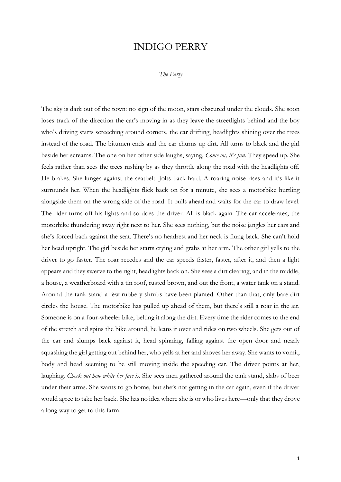## INDIGO PERRY

## *The Party*

The sky is dark out of the town: no sign of the moon, stars obscured under the clouds. She soon loses track of the direction the car's moving in as they leave the streetlights behind and the boy who's driving starts screeching around corners, the car drifting, headlights shining over the trees instead of the road. The bitumen ends and the car churns up dirt. All turns to black and the girl beside her screams. The one on her other side laughs, saying, *Come on, it's fun*. They speed up. She feels rather than sees the trees rushing by as they throttle along the road with the headlights off. He brakes. She lunges against the seatbelt. Jolts back hard. A roaring noise rises and it's like it surrounds her. When the headlights flick back on for a minute, she sees a motorbike hurtling alongside them on the wrong side of the road. It pulls ahead and waits for the car to draw level. The rider turns off his lights and so does the driver. All is black again. The car accelerates, the motorbike thundering away right next to her. She sees nothing, but the noise jangles her ears and she's forced back against the seat. There's no headrest and her neck is flung back. She can't hold her head upright. The girl beside her starts crying and grabs at her arm. The other girl yells to the driver to go faster. The roar recedes and the car speeds faster, faster, after it, and then a light appears and they swerve to the right, headlights back on. She sees a dirt clearing, and in the middle, a house, a weatherboard with a tin roof, rusted brown, and out the front, a water tank on a stand. Around the tank-stand a few rubbery shrubs have been planted. Other than that, only bare dirt circles the house. The motorbike has pulled up ahead of them, but there's still a roar in the air. Someone is on a four-wheeler bike, belting it along the dirt. Every time the rider comes to the end of the stretch and spins the bike around, he leans it over and rides on two wheels. She gets out of the car and slumps back against it, head spinning, falling against the open door and nearly squashing the girl getting out behind her, who yells at her and shoves her away. She wants to vomit, body and head seeming to be still moving inside the speeding car. The driver points at her, laughing. *Check out how white her face is*. She sees men gathered around the tank stand, slabs of beer under their arms. She wants to go home, but she's not getting in the car again, even if the driver would agree to take her back. She has no idea where she is or who lives here—only that they drove a long way to get to this farm.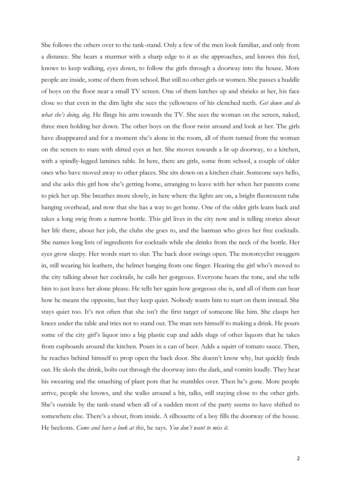She follows the others over to the tank-stand. Only a few of the men look familiar, and only from a distance. She hears a murmur with a sharp edge to it as she approaches, and knows this feel, knows to keep walking, eyes down, to follow the girls through a doorway into the house. More people are inside, some of them from school. But still no other girls or women. She passes a huddle of boys on the floor near a small TV screen. One of them lurches up and shrieks at her, his face close so that even in the dim light she sees the yellowness of his clenched teeth. *Get down and do what she's doing, dog.* He flings his arm towards the TV. She sees the woman on the screen, naked, three men holding her down. The other boys on the floor twist around and look at her. The girls have disappeared and for a moment she's alone in the room, all of them turned from the woman on the screen to stare with slitted eyes at her. She moves towards a lit-up doorway, to a kitchen, with a spindly-legged laminex table. In here, there are girls, some from school, a couple of older ones who have moved away to other places. She sits down on a kitchen chair. Someone says hello, and she asks this girl how she's getting home, arranging to leave with her when her parents come to pick her up. She breathes more slowly, in here where the lights are on, a bright fluorescent tube hanging overhead, and now that she has a way to get home. One of the older girls leans back and takes a long swig from a narrow bottle. This girl lives in the city now and is telling stories about her life there, about her job, the clubs she goes to, and the barman who gives her free cocktails. She names long lists of ingredients for cocktails while she drinks from the neck of the bottle. Her eyes grow sleepy. Her words start to slur. The back door swings open. The motorcyclist swaggers in, still wearing his leathers, the helmet hanging from one finger. Hearing the girl who's moved to the city talking about her cocktails, he calls her gorgeous. Everyone hears the tone, and she tells him to just leave her alone please. He tells her again how gorgeous she is, and all of them can hear how he means the opposite, but they keep quiet. Nobody wants him to start on them instead. She stays quiet too. It's not often that she isn't the first target of someone like him. She clasps her knees under the table and tries not to stand out. The man sets himself to making a drink. He pours some of the city girl's liquor into a big plastic cup and adds slugs of other liquors that he takes from cupboards around the kitchen. Pours in a can of beer. Adds a squirt of tomato sauce. Then, he reaches behind himself to prop open the back door. She doesn't know why, but quickly finds out. He skols the drink, bolts out through the doorway into the dark, and vomits loudly. They hear his swearing and the smashing of plant pots that he stumbles over. Then he's gone. More people arrive, people she knows, and she walks around a bit, talks, still staying close to the other girls. She's outside by the tank-stand when all of a sudden most of the party seems to have shifted to somewhere else. There's a shout, from inside. A silhouette of a boy fills the doorway of the house. He beckons. *Come and have a look at this*, he says. *You don't want to miss it.*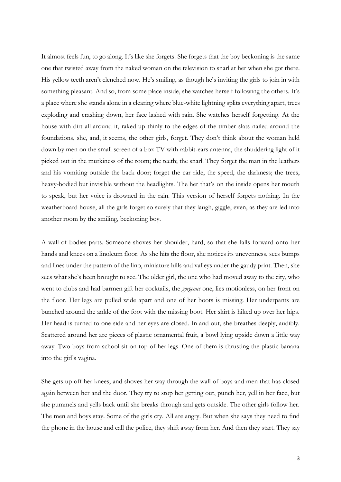It almost feels fun, to go along. It's like she forgets. She forgets that the boy beckoning is the same one that twisted away from the naked woman on the television to snarl at her when she got there. His yellow teeth aren't clenched now. He's smiling, as though he's inviting the girls to join in with something pleasant. And so, from some place inside, she watches herself following the others. It's a place where she stands alone in a clearing where blue-white lightning splits everything apart, trees exploding and crashing down, her face lashed with rain. She watches herself forgetting. At the house with dirt all around it, raked up thinly to the edges of the timber slats nailed around the foundations, she, and, it seems, the other girls, forget. They don't think about the woman held down by men on the small screen of a box TV with rabbit-ears antenna, the shuddering light of it picked out in the murkiness of the room; the teeth; the snarl. They forget the man in the leathers and his vomiting outside the back door; forget the car ride, the speed, the darkness; the trees, heavy-bodied but invisible without the headlights. The her that's on the inside opens her mouth to speak, but her voice is drowned in the rain. This version of herself forgets nothing. In the weatherboard house, all the girls forget so surely that they laugh, giggle, even, as they are led into another room by the smiling, beckoning boy.

A wall of bodies parts. Someone shoves her shoulder, hard, so that she falls forward onto her hands and knees on a linoleum floor. As she hits the floor, she notices its unevenness, sees bumps and lines under the pattern of the lino, miniature hills and valleys under the gaudy print. Then, she sees what she's been brought to see. The older girl, the one who had moved away to the city, who went to clubs and had barmen gift her cocktails, the *gorgeous* one, lies motionless, on her front on the floor. Her legs are pulled wide apart and one of her boots is missing. Her underpants are bunched around the ankle of the foot with the missing boot. Her skirt is hiked up over her hips. Her head is turned to one side and her eyes are closed. In and out, she breathes deeply, audibly. Scattered around her are pieces of plastic ornamental fruit, a bowl lying upside down a little way away. Two boys from school sit on top of her legs. One of them is thrusting the plastic banana into the girl's vagina.

She gets up off her knees, and shoves her way through the wall of boys and men that has closed again between her and the door. They try to stop her getting out, punch her, yell in her face, but she pummels and yells back until she breaks through and gets outside. The other girls follow her. The men and boys stay. Some of the girls cry. All are angry. But when she says they need to find the phone in the house and call the police, they shift away from her. And then they start. They say